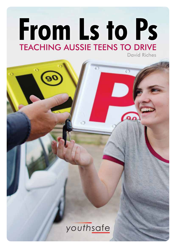# From Ls to Ps **TEACHING AUSSIE TEENS TO DRIVE David Riches**

# $\overline{\mathbf{a}}$ youthsafe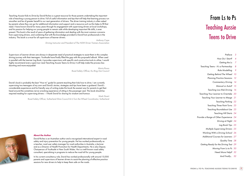#### **About the Author**

David Riches is an Australian author and a recognised international expert in road safety and injury prevention for young people. He has worked professionally as a teacher, road user safety manager for road authorities in Australia, a lecturer and as a Director of Health Promotion for Health Departments. He is also Deputy Chairperson of Youthsafe in New South Wales. He is a well-known road safety consultant, specialising in programs to reduce the road toll for young people.

In his current consultancy role, David has worked professionally with around 15,000 parents and supervisors of learner drivers to assist the planning of effective practice sessions for new drivers to help to keep them safe on the roads.

*Teaching Aussie Kids to Drive* by David Riches is a great resource for those parents undertaking the important role of teaching a young person to drive. Full of useful information and tips that will help that learning process run smoother and be of greater benefit to our next generation of drivers. The driver training industry is often asked by parents where they can go for additional information and support and a resource such as this helps to fill that need. I have known David for many years through his engagement with supervising drivers at local workshops, and his passion for helping our young people to remain safe while developing important life skills, is ever present. This book is the result of years of gathering information and dealing with the most common concerns from supervising drivers, and combining that with the knowledge provided to David from professionals in the industry. This book is a must for all supervisors of learner drivers.

> *Anthony Cope Driving Instructor and President of The NSW Driver Trainers Association*

Supervisors of Learner drivers are always in desperate need of practical strategies to assist them in this complex driving journey with their teenagers. Youthsafe have finally filled the gap with this purposeful eBook. When used in parallel with the Learner Log Book, it provides supervisors with specific and constructive tools to utilise. I would highly recommend every supervisor read *Teaching Aussie Teens to Drive*; it will help make the process less daunting and more enjoyable!

> *Maria Russo Road Safety Officer, Ku-Ring-Gai Council*

David's book is probably the best "How to" guide for parents teaching their kids how to drive. I am currently supervising two teenagers of my own and David's stories, strategies and tips have been a godsend. David's considerable experience and his friendly way of writing make this book the easiest way for parents to get their head around the sometimes nerve-wracking experience of sitting in the passenger seat. This book should be required reading for supervising drivers – I thank David for sharing his wisdom and humour.

Mark Stuart

Road Safety Officer, Sutherland Shire Council & U-Turn the Wheel Coordinator, Sutherland



# From Ls to Ps Teaching Aussie Teens to Drive

| Preface                                | 3  |  |
|----------------------------------------|----|--|
| How Do I Start?                        |    |  |
| Getting the Ls                         |    |  |
| Teaching Teens - It's a Partnership    |    |  |
| Role Modelling                         |    |  |
| Getting Behind The Wheel               |    |  |
| <b>Planning Practice Sessions</b>      |    |  |
| <b>Commentary Driving</b>              | 14 |  |
| Manual or Auto?                        | 15 |  |
| <b>Teaching Low Risk Driving</b>       | 16 |  |
| Teaching Your Learner to Overtake      | 20 |  |
| Teaching Your Learner to Merge         | 21 |  |
| <b>Teaching Parking</b>                | 22 |  |
| <b>Teaching Three Point Turns</b>      | 23 |  |
| <b>Teaching Roundabout Use</b>         | 23 |  |
| <b>Teaching Hill Starts</b>            | 24 |  |
| Provide a Range of Other Experience    |    |  |
| Driving at Night                       | 24 |  |
| Log Book Tips                          | 25 |  |
| <b>Multiple Supervising Drivers</b>    | 25 |  |
| Working With a Driving School          | 26 |  |
| <b>Additional Courses for Learners</b> | 27 |  |
| <b>Quality Time</b>                    | 28 |  |
| Getting Ready for the Driving Test     | 29 |  |
| Moving From Ls to Ps                   | 30 |  |
| Need More Help?                        | 32 |  |
| And Finally                            | 32 |  |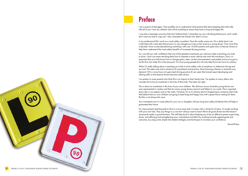



## **Preface**

I am a parent of teenagers. That qualifies me to understand what parents feel about keeping their kids safe. Like all of you I love my children and will do anything to ensure they have a long and happy life.

I was also a teenager once (my kids don't believe this!); I remember my own risk-taking behaviours, and I really don't want my kids to copy me. I also remember the friends who didn't survive.

In my professional life I work as a road safety consultant. Now this really scares me. On a daily basis I am confronted with crash data that proves it is very dangerous to be on the road as a young driver. Over more than a decade I have conducted planning workshops with over 15,000 parents and supervisors of learner drivers to help them understand the road safety benefits of increased driving practice.

So I can tell you with confidence that one of the greatest investments you will ever make is teaching your kids to drive. I don't just mean teaching them how to operate a motor vehicle and work the machinery. Sure, it is important that your kids know how to change gears, steer, use the instrumentation and pedals and you've got to do this first, but really this is the easy part. For most young people this will only take five to ten hours to achieve.

What I'm really talking about is teaching your kids to drive safely, with an emphasis on defensive driving and survival. This takes time and a whole lot of commitment and practice. Most licensing schemes in Australia now demand 100 or more hours of supervised driving practice (it can seem like forever) spent developing and refining skills so that learner drivers become safer drivers.

I've spoken to some parents who think this is an impost on their family time. I've spoken to many others who consider this to be an investment in the lives of their kids. The latter are right.

This is about an investment in the lives of your own children. We all know across Australia young drivers are over-represented in crashes and that too many young drivers are hurt and killed on our roads. This is reported every day in our papers and on the radio. However, for us it's always about it happening to someone else's kids. We believe that our own children are going to lead long and happy lives with a great future waiting for them. But this is not always the case.

Your investment now in road safety for your son or daughter will pay long-term safety dividends that will help to guarantee their future.

For many parents teaching kids to drive is not an easy task. It comes with a whole lot of stress. It's tough working with your own kids. They say things to us we don't always want to hear! We're all good drivers but that doesn't necessarily make us good teachers. This self-help book is about helping you to be an effective parent supervising driver, and affirming and strengthening your commitment and effort by working towards agreed goals and outcomes, by using some simple time-tested strategies and techniques to increase your confidence.

*David Riches*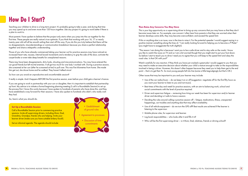## **How Do I Start?**

Teaching your children to drive is a long-term project. It's probably going to take a year, and during that time you may spend up to and even more than 120 hours together. Like any project it's going to work better if there is a plan to work to.

Most parents I have spoken to believe that the project only starts when you jump into the car together for the first time. These people are really nature's true optimists. If you think that working with your 16, 17 or nearly twenty-year old will all be smooth sailing then start off this way. If you do this you truly believe that there will be no disagreements, misunderstandings or communication breakdown because you share a perfect relationship together and share a telepathic understanding.

Those of you who have already commenced taking your learner out for practice sessions may have noticed an increased heart rate, nausea, internal bowel movements and a tendency to grip the side of the door, activate the carpet brake or even take deep breaths for unexplained reasons.

There may have been disagreements, dirty looks, shouting and miscommunications. You may have entered the car good friends but left mortal enemies. It all got too much for one lady I worked with. During a practice session, she screamed at her son (after he screamed at her) to pull over. This was five kilometres from home. She made him get out, she drove home and he walked. They haven't talked since!

So how can you avoid an unproductive and uncomfortable session?

It really is simple. And it happens BEFORE the first practice session, even before your child gets a learner's licence.

If you are going to work in partnership with your son or daughter, then it is important to establish that partnership up front. My advice is to initiate a formal beginning planning meeting (I call it a Roundtable Session) to set up the process first. I know this works because I have spoken to hundreds of parents who have done this, and they have established a way forward for their sessions. I have also spoken to hundreds who didn't, who really wish they had.

- you want your learner to listen to you and not music).
- Best times of the day and week for practice sessions, with an aim to balancing work, school and social commitments with the level of practice required.
- driver and deciding is it safe to have a session.
- happenings, car troubles and anything else that may affect availability.
- Use of all vehicle equipment do we turn the GPS off? Best results are achieved if the learner is listening to the supervisor.
- Mobile phone rules, for supervisor and learner.
- Log book responsibilities who looks after it and fills it in?
- Who will be the first supervising driver is it Mum, Dad, relatives, friends or driving school?

*So, here's what you should do.*

#### **Set Up a Roundtable Session**

Call a Roundtable Session prior to commencing practice sessions. Invite all supervising drivers, including Mum, Dad, Grandma, Grandpa, friends who are helping. Invite your learner driver (make sure you have suitable bribery food!).

Set an informal agenda. The agenda should include:

#### **Then Raise Any Concerns You May Have**

This is your big opportunity as a supervising driver to bring up any concerns that you may have so that they don't become issues later on. For example, one concern I often hear from parents is that they are worried when their learner develops some skills, they may become overconfident, and exceed the speed limit.

If this or anything else is an issue, now is the time to raise it. For the potential speeder I would suggest saying in a positive manner something along the lines of, "I am really looking forward to helping you to become a P Plater" (you might have to exaggerate the truth slightly!).

"The reason I am doing this is because I want you to be a safe driver and to stay safe on the roads. I know you like to watch the races on TV and so I am a bit worried though that you might start to put your foot down. So before I start to teach you to drive I need you to agree that you will keep to the speed limit and obey the road rules. Is that OK with you?"

Watch carefully for any reaction. If they think you have just cracked a great joke I would suggest to you that you may need to make an executive decision about whether your child is mature enough to take on the responsibilities involved in being a driver. However, this doesn't often happen because they need you to help them get to the end point – that is to get their Ps. So most young people fall into line (some a little begrudgingly but that's OK.)

Other issues that may be important to you and your learner may include:

• Use of the car radio/music – do we keep it on or off (suggestion- negotiate off for the first fifty hours as

• Driver and supervisor fatigue – reviewing how tiring our week has been for supervisor and/or learner

• Deciding the rules around calling a practice session off – fatigue, medications, illness, unexpected



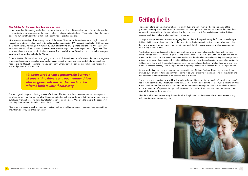#### **Also Ask for Any Concerns Your Learner May Have**

It's important that this meeting establishes a partnership approach and this won't happen unless your learner has an opportunity to express concerns that he or she feels are important and relevant. The one that I hear the most is about the number of weekly hours that can be committed to practice sessions.

Most learners are excited about starting out. In all States and Territories in Australia there are a high number of hours of on-road practice that needs to be achieved. For example, in NSW the requirement is for 120 hours over a 12 month period, including a minimum of 20 hours of night-time driving. That's a lot of hours. When you work it out it amounts to 10 hours a month. However, keen learners might have higher expectations of your time. You know what I mean – Mum can do five hours a week, Dad can do five and Grandpa can do seven because you guys haven't got anything else to do. Not so!

For most families, this many hours is not going to be practical. At the Roundtable Session make sure you negotiate a reasonable number of hours that your family can ALL commit to. Once you have made that agreement you need to stick to it though – so make sure you get it right. Otherwise your keen learner will justifiably argue the toss, and you are off to a bad start.

> *It's about establishing a partnership between all supervising drivers and your learner driver where agreements are reached and can be referred back to later if necessary.*

The really good thing about having a successful Roundtable Session is that it becomes your insurance policy. So later on when your learner has a few kilometres under the belt, and starts to put their foot down, you have an out clause. "Remember we had our Roundtable Session some time back. We agreed to keep to the speed limit and obey the road rules. I need to know if that's still OK?"

Most learner drivers are back on track really quickly as they recall the agreement you made together, and they know there's no way out of the agreement.

## **Getting the Ls**

The prerequisite to getting a learner's licence is study, study and some more study. The beginning of the graduated licensing scheme in Australian states involves passing a road rules test. It's essential that candidate learners sit down and learn the road rules so that they can pass this test. The aim is to pass the test first time because each time the test is attempted there is a charge.

I always advise parents who are used to digging deep for their kids to pay for only the first test. Many kids pass first time, but there are also a percentage who don't. So maybe the second, third or heaven forbid fourth time they have a go, don't agree to pay. I can promise you study habits improve enormously when young people have to pay their own way!

Practice tests across most Australian States and Territories are available online. Most of these tests ask for a multiple choice response. I think it's a great idea to practise online. This can be done at home in comfort, and the format that the test will be presented in becomes familiar and therefore less stressful when they hit that registry on test day. Just a word of caution though. I find that kids practise and practise and eventually learn all or most of the right answers. However, if the required response is multiple choice they often learn whether the right answer is a, b, or c. This means that they know the right answer, but perhaps not always the reason that it is the right answer!

It's best to obtain a hard copy of the road rules relevant to your State or Territory. There may be a small cost involved but it is worth it. Your kids can then read the rules, understand the reasoning behind the legislation and then reconfirm the understanding in the practice tests that they do.

Oh, and one quick question for you. How is your knowledge of the current road rules? Let's face it – we haven't had to think about road rule theory for a long time. Most of us have been driving for many years. I learnt my rules in miles per hour and feet and inches. So it's not a bad idea to work through the rules with your kids, to refresh your own memories. Or you can lock yourself away with the rules book and your computer and pretend you knew all the answers the whole time.

After the test has been passed keep the handbook in the glovebox so that you can look up the answer to any tricky question your learner may ask.







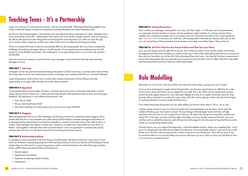## **Teaching Teens - It's a Partnership**

I grew up in the era of "command and control", and not "mutual benefit". Working and learning together was really a relatively foreign concept not enjoyed by most Baby Boomers and early Generation Xers.

Let's face it. Teaching teenagers is never going to be easy because being a teenager isn't easy. Teenagers have a host of priorities in their life – relationships with friends, new loves, body changes, fashion, what am I going to do with my life and lots of other things that we have forgotten were important to us when we were this age. So it's hard to relate sometimes, and this can make it hard to form an effective learning partnership.

There is no doubt that levels of maturity and attitude differ for all young people. But if you have accepted the challenge of teaching a teenager, then you are the teacher of a young and impressionable person and will need to try to be flexible and patient. The challenge for us as supervising drivers is to try to be calm, positive and flexible.

Here are a few facts to keep in mind about the way a teenager's mind works that will help when teaching teenagers to drive.

#### **TEEN FACT 1 Listening**

Teenagers can be very persistent and demanding and parents can feel worn down, uncertain and cranky at times. Teaching a teen to drive can involve tension and your teenager may sometimes feel that you "just aren't listening".

Supervising parents need to know how to really listen, praise achievement and be willing to provide opportunities to try again after mistakes are made. Keep it positive!

- Mutual respect
- Agreement to be patient
- Emphasis on listening instead of telling
- Negotiation

#### **TEEN FACT 2 Appraisal**

Young people need to bounce ideas off others or test their opinions to work out what they really think. So don't always tell your learner what to do – rather ask what they thought of the experience they just had, and encourage feedback. Self-appraisal is a more effective learning tool. Ask:

- How did you feel?
- Did you feel alright about that?
- Was there anything you noticed about your drive that you need clarified?

#### **TEEN FACT 3 Nagging**

Many disagreements that occur when teenagers are learning to drive are caused by parents nagging. Most parents feel that one or two reminders are useful and should be helpful. However, teenagers interpret this as a message that the parent doesn't trust them to remember or wants to have total control. This often results in a cranky, sullen teenager who argues or resists your viewpoint, no matter how reasonable you may think it is. Rather, work together to decide what works and what doesn't. Have an agreement to communicate openly, perhaps after the lesson, to talk about issues that arose during the practice session.

#### **TEEN FACT 4 Relationship Building**

It would be no news to parents to discover that good relationships with kids are built over many years of love and trust. However, a demanding experience like teaching a learner to drive can test the solid foundations family relationships are often built on. Supervising parents need to remind themselves about the following principles and to reaffirm them periodically before driving lessons.

#### **TEEN FACT 5 Setting Parameters**

Don't confuse your teenager 'wanting their own way' with 'their rights'. It is still important to set parameters, as a teenager who has freedom to always choose sometimes makes mistakes. In a driving situation these mistakes can contribute to danger and an increased crash risk. Parameters are best set by mutual agreement (see "How Do I Start?"). However, at a safe time, still be prepared to insist that your learner pulls over so that you can remind them of the parameters that have been set to keep road safety high on the priority list.

#### **TEEN FACT 6 Tell Them That You Are Proud of Them and That You Love Them!**

Sure, you will need to pick the right time to do this. Don't embarrass them in front of their friends. Don't break teenage protocol! But even something as simple as leaving a note on their desk telling them that you are proud of them and you love them can do the trick. Kids will pretend they don't care – but they do! Linking an expression of love to the achievements they are experiencing as a learner may give them cause to reflect later that road safety and the strong family bond you share are inextricably linked.

## **Role Modelling**

Remember, for most of your kids one of their most important role models is going to be you (I hope!).

So if you have developed a couple of bad driving habits over the years (and haven't we all?) then this is the time to have a think about them. Do you speed (it's not really OK to do 10km over the speed limit), provide several seconds signal intention (or not at all), park illegally (it's only for a couple of minutes), drive for long periods without a break (I can make it!) or get cranky with other drivers (giving another idiot driver the finger), or anything else then it's time to modify that behaviour.

If you keep doing these things then you are really telling your learner driver that it's OK to "do as I do".

I always advise parents to own up to the bad habits they have developed over the years. Don't make the mistake of thinking your kids haven't noticed. The psychology of the teenager means that they will take particular notice of what you do wrong and not what you do right. Even though you may drive carefully and safely 99% of the time, your kids will have taken absolutely no notice. But flip someone "the bird" just once and the event is instilled forevermore, and will become family legend to be discussed at important future events where you can be easily embarrassed.

The best time to own up is right at the beginning – at the Roundtable Session. Simply say something like, "Look I know I've developed a few bad driving habits over the years. You've probably noticed. I want you to be a safe driver, so it's fair that I take this opportunity to have a look at my own driving too". That's all you have to say. It's worth the effort as it is now less likely your learner will have a go at you later on when you ask them to drive in a way that you sometimes don't.

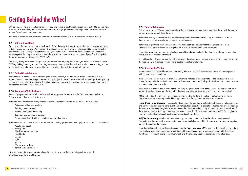## **Getting Behind the Wheel**

OK, so you now have a keen learner driver ready and raring to go. It's really important to get off to a good start. Preparation is everything and it's important your learner engages in some learning that increases awareness of your car's equipment and accessories.

You need to spend several hours in quiet areas in order to achieve this. Here are some tips that may help.

#### **TIP 1 Off to a Good Start**

Don't let your learner driver drive home from the Motor Registry. Most registries are located in busy urban areas, or in the busier parts of town. Your learner driver is not yet equipped to drive in these conditions and it can be downright unsafe. You might think that because your child has been sitting next to you in the passenger seat for many years that they have noticed some of the essential points, or absorbed some of your fine driving skills through some process like osmosis. WRONG!

The reality is they have been sitting next to you not noticing anything about how you drive. More likely they are SMSing, talking, listening to music, reading, sleeping – the only time they will notice what you are doing or how you are driving is when you do something wrong (and this they will file away for future use!)

#### **TIP 2 Find a Nice Quiet Area**

Spend the initial five to 10 hours practising in a nice quiet area, well away from traffic. If you live in a busy location you will need to drive your learner to a quiet spot. Industrial areas work well on Sundays. Local sporting complexes on off sport days can provide lots of quiet car park space. However, anywhere you can find that has an absence of traffic should work well.

#### **TIP 3 Commence With the Basics**

At this stage your aim is to teach your learner how to operate the motor vehicle. Concentrate on the basics. Things you should cover at this stage are:

a) Ensure an understanding of adjustments to make within the vehicle to suit the driver. These include:

- Adjustment of the seat position
- Steering column position
- Seatbelt location and fastening
- Rear view and side mirror position
- An understanding of vehicle limitations, such as blind-spots.

b) Ensure your learner knows where all the vehicle controls, gauges and warning lights are located. These include:

- Accelerator pedal
- Brake pedal
- Clutch for manual vehicles
- Hand brake
- Signals
- Lights
- Ignition
- Wipers and washers
- Bonnet and boot releases.

Most important! Show your learner where the fuel cap is so that they can help pay for the petrol! Or at least know how to fill the car.

#### **TIP 4 Time to Get Moving**

OK, so far, so good. We can't sit on the side of the road forever, so let's keep it simple and start with the simplest manoeuvre – moving off from the kerb.

Are the seats and mirrors adjusted to suit, is the seatbelt on?

Before moving off help your learner to check for blind spots and ensure that the vehicle indicator is on. At least five seconds' indication is a requirement in most Australian States and Territories.

Ensure that your learner moves from the kerb smoothly and double checks that there is a safe gap to move into. Make sure the indicator switches off.

the road safely at this stage – you need to double check the whole time.

#### **TIP 5 Steering the Vehicle**

Position hands in a relaxed fashion on the steering wheel at around the quarter to three or ten to two position with a slight bend in the elbow.

It is generally accepted that there are two appropriate methods of steering that need to be taught to a new and safe if employed correctly.

- Before this occurs, it is important that your learner gets into the routine of checking the vehicle for readiness.
	-
	-
- You will need to talk your learner through this process. Never assume that your learner knows how to move onto
	-
- driver. Colloquially, the methods are known as "hand over hand" and "pull/push". Both methods are acceptable
- My advice is to choose one method at the beginning stages and stick with it for a while. This will confuse your
	-
- and tighter turns. In using the hand over hand method, the hands should operate on the top half of the wheel, as this avoids arms getting tangled up. It is recommended that hands should stay in the top quarter or quadrant of the wheel in the direction they are turning (between nine and 12 for a left turn and three and 12 for a right turn).
- This method is thought to offer more control as a driver has full control of the steering wheel without ever getting
	-

learner driver less, as there is already a lot of information to retain. Later on you can try the other method.

At the end of day though your learner needs to know and understand the value of both steering methods. This is because each steering method has application to differing situations. This is how it works.

**Hand Over Hand Steering** – Crosses hands on top of the steering wheel and can be used on all manoeuvres This way the hands don't reach back to opposite sides of the wheel.

**Pull/Push Steering** – Both hands move in an up and down motion on the sides of the steering wheel. confused about hand position.

Now the bad news folks! For those of you that use the **"wax on wax off"** method – don't teach it to your kids! This is a lazy baby boomer method of steering that became fashionable when power steering hit the scene. It's ultra easy for your hand to slip off the wheel, and it works very poorly in complex driving situations.

**10**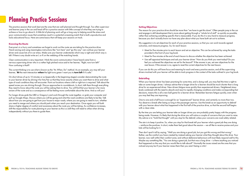## **Planning Practice Sessions**

The practice sessions that work best are the ones that are well planned and thought through. Too often supervisor and learner jump in the car and head off for a practice session with little concept of what they are trying to achieve or how to go about it. A little bit of planning work will go a long way to helping avoid the stress and poor communication issues that sometimes result in a potential screaming match that is both unproductive and lacks educational focus. Here are some basics that will keep your sessions on track.

## **Knowing the Route**

Everyone's in a hurry and sometimes we forget to work out the route we are taking for the practice drive. Hand waving and using meaningless instructions like "turn here" and "go this way" can confuse your learner driver and cause lots of in-car stress. Make sure your learner understands which way is right and which way is left. If there is any doubt write an L or R on the webbing of the matching hands.

Clear communication is very important. I think the worst communication I have heard came from a nervous supervising driver who in a rather high pitched voice said to her learner, "Right, now turn left!" How confusing is that?!

The current thinking is to use what is known as the "At, When, Do" method. As an example, you may tell your learner, "**At** the next intersection **when** the light turns green I want you to **turn left** if it's safe."

On short drives of up to 15 minutes or so (especially in the beginning stages) consider demonstrating the route to your learner driver by driving it for him/her so that they know exactly where you want them to drive and what type of road conditions they will encounter. Point out locations where a left or right turn is required. Talk about the speed zones you are driving through. Discuss approaches to roundabouts. In short, talk them through everything they need to know about the route you will be asking them to drive. You will find that your learner is far more aware of the route and as a consequence will be feeling more comfortable about the drive. And so will you!

For longer drives grab the UBD or Gregory's and work through the route together, or grab your computer and pull up Google Maps. Discuss where you will be going and what the road conditions are likely to be like. Talk about how you are going to get from your house to major roads, where you are going to need to turn, whether you need to merge and where you should park when you reach your destination. Once again you will both share a higher degree of comfort and awareness about the route you will be taking. As confidence increases, shift the responsibility for route planning to your learner as this is a skill they will need to utilise when driving independently without you there to guide them.

## **Setting Objectives**

The reason for your practice drive should be more than "we have to get this done". Often people jump in the car and engage in skill development that is more about getting through a "whole lot of stuff" as quickly as possible, rather than achieving something specific that is measurable. If you do this it is very hard to measure progress, because you don't actually know nor have any plan about what you have both set out to achieve.

My suggestion is to set objectives for each of your practice sessions, so that you can work towards agreed outcomes, and measure progress. So, for each lesson:

• Meet for five minutes prior to each lesson and set an objective. This can be achieved by using the tasks

- provided in the front of your log book.
- Meet for five minutes at the end of each lesson to discuss whether the objective has been achieved.
- next lesson. If the answer is no, agree to reset the current objectives for the next lesson.

• Use self appraisal techniques and ask your learner driver "How do you think you went today? Do you feel you achieved the objectives we set for the lesson?" If the answer is yes, set new objectives for the

If you can do this you will have focus and meaning for each and every practice session, and all the supervising drivers involved with your learner will be able to track progress in the context of the tasks outlined in your log book.

#### **Debriefing**

When your learner driver has been practising for some time, and is doing well, you may feel the time is right to take on some longer drives. I always advise that a longer drive for a learner should be much shorter than a long drive for an experienced driver. New drivers fatigue more quickly than experienced drivers. Heightened stress levels combined with the need to absorb and react to rapidly changing conditions and make corresponding fast decisions, means this is all a new ball game for a learner driver. Remember learners fatigue quickly, even when you may feel they are improving.

One to one and a half hours is enough for an "experienced" learner driver, and certainly no more than two. You deserve a break after being so long in the passenger seat too. Use the break as an opportunity to debrief with your learner about what has happened in the first half of the practice drive, so that the second half begins with a clean slate.

By the time you are letting your learner take on longer drives you are probably pretty happy with the progress being made. However, it's likely that during the drive you will notice a couple of concerns that you want to raise. My advice is to "hold that thought" until you stop for the debrief, unless your concerns are road safety related.

The aim is to keep it positive. So, when you stop for that break tell your learner what a great job they are doing – reinforce the positives. In short, make them feel good about the session – we all like to receive praise and your kids will be looking for it.

Then don't spoil it all by saying, "Well you are doing a good job, but you got this wrong and that wrong." Rather, use the comfort you have created by instead asking your learner what they thought about the drive. Your learner, now well within their comfort zone, and without defensive behaviours will most likely respond well to this. Maybe say something like, "You are doing a great job, but that was a long drive – is there anything you noticed that happened on the way that you would like to talk about?" Normally the issues raised are the ones that you noticed anyway but if your learner raises them then you aren't being a critic!

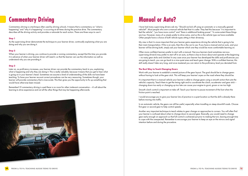## **Commentary Driving**

Commentary driving is a technique often used by driving schools. It means that a commentary on "what is happening" and "why it is happening" is occurring at all times during the practice drive. The commentary describes all the driving activity and provides a rationale for each action. There are three ways to use it:

## **Step 1**

As the supervising driver demonstrate the technique to your learner driver, continually explaining what you are doing and why you are doing it.

## **Step 2**

When your learner is driving, you continue to provide a running commentary, except that this time you provide it in advance of when your learner driver will need it, so that the learner can use the information as well as understand why you are providing it.

## **Step 3**

Later on, as proficiency increases, your learner driver can provide the commentary back to you, explaining what is happening and why they are doing it. This is really valuable, because it means that you get to hear what is going on in your learner's head. Sometimes we assume a level of understanding of the skills we have been teaching. To have your learner recount correct procedures can be very reassuring. Sometimes though, your learner will provide commentary that is inaccurate. This then gives you the opportunity to fix up something that would have otherwise been missed.

Remember!! If commentary driving is used there is no room for other irrelevant conversation – it's all about the learning to drive experience and not all the other things that may be happening afterwards.



## **Manual or Auto?**

I have had many supervising drivers ask me, "Should we kick off using an automatic or a manually geared vehicle?". Most people who own a manual vehicle feel that it is safer. They feel this because "it is important to feel the vehicle", "you have more control" and "there is additional braking power". To some extent these things are true. However, many of us simply prefer to drive autos, and so this is the vehicle type we have available. Other people have a choice of both vehicle types sitting in their driveway.

My view is that it is more important that your learner gains experience driving the vehicle that is going to be their main transportation. If this is an auto, then this is the car to use. If you have a manual and an auto, and your learner will be driving both, simply ask your learner which one they would be more comfortable learning on.

Often more confident learners prefer to start with a manual. Nervous learners (and sometimes nervous supervising drivers!) may prefer to start off in an auto, as there is less to know about and operate at the beginning – no nasty gear sticks and clutches! In any case once your learner has developed the skills and proficiencies you are going to teach, you can go back to a nice quiet area and teach gear change. With a confident learner, this skill really doesn't take very long, and once mastered you can return to the proficiency level you deviated from.

## **The Best Way to Teach Changing Gears**

Work with your learner to establish a mental picture of the gear layout. The goal should be to change gears without having to look at the gear stick. This will keep your learner's eyes on the road where they should be.

It is important that in a manual vehicle your learner is able to change gears using a smooth action that suits the vehicle's capacity. Teach them to get the timing right and to coordinate the clutch, accelerator and gear stick – changing down too early or changing up too late can cause your engine to grunt, groan or rev too high.

Smooth clutch control is important on take-off. Teach your learner to pause movement of the foot when the friction point is reached.

I would encourage you to give your learner lots of practice in a quiet location so that the skill is already there before moving into traffic.

In an automatic vehicle, the gears can still be useful, especially when travelling on steep downhill roads. Choose first gear or second gear to help control speeds.

Another very important technique to teach relates to gear change on approaches to corners. You will often find your learner is confused about when to change down to second gear. Basically, you would need to change gear early enough on approach so that full control is achieved just prior to making the turn, leaving enough time to cope with the unexpected. Remember to encourage your learner to keep an eye on the mirrors and signal intention before and during the procedure.



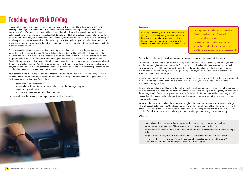## **Teaching Low Risk Driving**

It is incredibly important to teach your kids to drive defensively. The favoured term these days is **low risk driving**. Some of you may remember that when we learnt to drive we were taught that we should "drive everyone else's car" as well as our own. I still think this makes a lot of sense. If we watch and predict risky behaviours from other drivers we are much less likely to be involved in their problems. An example may be that we stick to the speed limit, but a lot of drivers don't. If the wayward driver behind you roars up to the proximity of your bumper bar, please don't teach your learner to tap the brakes lightly "to give them a bit of a scare". Rather, teach your learner to move across to the left when safe to do so, or to change lanes if possible. It's much better to avoid a dangerous situation.

This is an attitude that is developed over time in young people, influenced to a large degree by the example set for them by their role models (see "Role Modelling"). I remember working with a Dad who confessed that the worst moment for him in his role as a supervising driver was when he "lost it". The driver behind his learner tailgated and honked his horn for several kilometres, trying several times to overtake in dangerous situations. Finally, this guy overtook, only to be pulled up by the next set of lights. Dad got out and ran up to the car, abused the driver and kicked the door. Apart from being fortunate that the driver ahead didn't have a gun in the glove box, the message he sent his son was that road rage was a normal reaction to situations that experienced drivers can find themselves in all the time. So always try to stay calm!

> Your challenge here is to start to get your learner to respond to all the activity occurring in the road environment all around. The best way to kick this off is to ask your learner to tell you what is happening in the road environment during the drive.

Your learner will find that during the driving test there will always be an emphasis on low risk driving. The driver examiner will test for your learner's ability to be able to have a strong awareness of the driving environment to avoid any dangerous situations. Skills include:

- Scanning the road environment
- Perceiving hazards to make decisions about how to avoid or manage dangers
- Leaving an appropriate gap
- Travelling at a speed appropriate to the conditions.

Let's take a look at the best way to teach your learner each of these skills.



#### **Scanning**

Scanning is probably the most important low risk driving skill that can be taught to a learner driver. Scanning is all about a driver knowing what is happening in the road environment around the vehicle. A driver who has effective scanning skills:

#### Be sure that your learner is a proficient scanner before test time. It also might save their life one day.

I always advise supervising drivers to start teaching this skill early on. You will probably find when you get your learner into light traffic situations for the first time that this skill will need to be developed from scratch. Most learners start off with both hands gripped tightly on the steering wheel with the line of sight focussed directly ahead. This can be very disconcerting as the sightline of your learner looks like it is directed at the top of the bonnet, or at best just past this.

It's also not a bad idea to start this off by taking the wheel yourself and asking your learner to talk to you about what is happening in the road environment around them while you are driving. Even though they are not behind the steering wheel it forces an inexperienced driver to "have a look". For most this will be a new thing – don't assume that all that time you have been driving your kids around that they have noticed anything much at all. They haven't needed to.

When your learner is back behind the wheel talk throughout the drive and ask your learner to acknowledge what is happening. For example, "See those kids playing on the footpath. One of them has a ball so we had better keep an eye out in case it rolls out on the road". Your learner will probably only take a very quick look, and then focus back to the front. But at least you have started to get the scanning process underway.

#### *Other tips:*

- Ask what speed your learner is doing. This makes them move their eyes away from the front focus
- Ask what a sign says up ahead. This makes them scan down the length of the road
- Ask what type of vehicle is two or three car lengths ahead. This also makes them scan down the length of the road
- Ask your learner to tell you what is behind. This makes them use the rear and side view mirrors
- Pose a few what ifs for example "what if there was a truck broken down around the bend?" This makes your learner consider the possibilities for hidden dangers.



- Looks up the road well ahead of the vehicle
- Checks down both sides of the road
- Uses mirrors (rear and side)
- Looks up each side street as you approach
- Slows down if a blind corner blocks the view
- Checks instruments (especially the speedometer)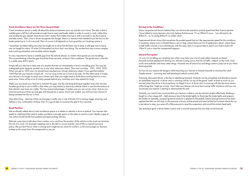Crash avoidance space is really all about the distance between your car and the car in front. The idea is that a suitable gap is left that will provide enough time to react and brake safely in order to avoid a crash, rather than rear ending the guy ahead. Most drivers don't realise that it takes time (up to half a second) to see the hazard, and take action. Then, once a driver recognises the danger, there is a reaction time needed to put the foot on the brake pedal (up to <sup>3</sup>/4 of a second). Then of course it all depends on how good the car's braking system is.

#### **Crash Avoidance Space (or the Three Second Gap)**

I remember my father telling me when he taught me to drive that the best way to keep a safe gap was to leave one car length for every 10 miles (16 kilometres) an hour that I was doing. This worked but was a more complex task involving estimation and variable vehicle lengths.

It's very important to leave a suitable gap from the vehicle ahead, no matter what speed you are travelling. The current thinking is that the gap should be three seconds, at least in fine conditions. The good news is that this is a really easy skill to teach.

Simply tell your learner to take note of a marker that the car immediately in front is travelling past. This may be a telegraph pole, signpost, parked car or any other stationary object. Then start counting... 1001, 1002, 1003. When you get to 1003 your car should have reached your chosen stationary object. If you get there before 1003 then tell your learner to back off – it is too close to the car in front to be safe. On the other hand, if it takes your learner a lot longer to reach your chosen spot, then you might need to think about moving back to a nice quiet area. There will be a lot of cranky people behind you, and they won't stay patient for long!

Make sure you teach your learner to maintain the gap. Use the checking technique together every few minutes. Another good tip to use in traffic is that when you stop behind a stationary vehicle check to see that the bottom of that vehicle's rear tyres are visible. This has several advantages. It makes sure you are not too close. And as you move forward your three-second gap will already be in place. And if rear-ended, you will have less chance of being rammed into the car in front.

One other thing – leaving a three second gap is really only a rule of thumb. If it is raining, foggy, snowing, and hailing or any combination of these, then it's a good idea to increase the gap to four seconds.

#### **Road Position**

We've already talked about crash avoidance space as it relates to vehicles in front or behind. Your learner also needs to understand the need to make sure there is enough space on the sides to avoid a crash. Ideally a gap of one metre should be left from parked and approaching vehicles.

Allocate some time to talk about how crashes occur and how the position of the vehicle on the road can minimise the risk of a crash. For example, keeping over to the left on curves and the crest of hills is a good insurance policy. We just don't know what is coming and it might be too close for comfort, so let's encourage our learners to keep as far away from the unexpected as we can.

#### **Driving to the Conditions**

Many inexperienced drivers believe they can drive to the maximum posted speed limit their licence permits. I have talked to many learners who truly believe that because "it's an 80km/h zone... I am allowed to do 80km/h... so I'm doing 80km/h no matter what".

Experienced drivers know that sometimes the posted speed limit isn't the appropriate speed for the conditions. In situations where vision is limited (heavy rain or fog), where there are lots of pedestrians about, where there is high traffic volume or just unfamiliarity with the area, then it is a good idea to teach your kids to back off 10km/h, just in case the unexpected happens.

#### **Hazard Perception**

I'm sure I'm not telling you anything new when I say there are a lot of road safety hazards out there! Hazards include pedestrians darting out, vehicles turning across the line of traffic, rubbish on the road, road works and potholes and many other things. Hazards are all around us and things seem to jump out at you when least expected.

So how do you reduce the dangers whilst teaching your learner to foresee hazards to minimise the risks? Simple answer – scanning and well developed vehicle control skills.

Scanning, discussed above, is the key to identifying hazards. Hazards can be immediate and therefore require an immediate response. A driver who is scanning will be "on top of the game" (well, at least as much as you can be) when that driver in front performs an illegal U-turn. A driver who is scanning will also be more aware of the things that "might go wrong". Don't take your learner into busy fast moving traffic situations until you are convinced your learner is starting to demonstrate this skill.

Similarly, you need to be convinced that your learner is able to use the vehicle's brakes effectively. Braking is taught as a four-stage skill – light pressure (touch the brake lightly to illuminate the brake lights and prepare the brakes to operate), squeeze (gradual pressure is applied to the pedal), freeze (enough pressure has been applied that the car will stop, so the pressure is frozen at that point) and ease (at the last moment where the car is just about to stop, you ease off a little pressure to reset the suspension and avoid the violent head jerk).

This technique gives a driver better control and a smooth response that can help avoid hazards.



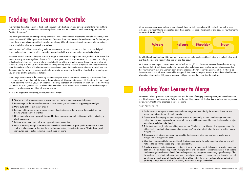When teaching overtaking or lane change in multi-lane traffic try using the MISS method. This well-known technique was taught to me by a professional driving school, is simple to remember and easy for your learner to understand. **MISS** stands for:



It's all fairly self-explanatory. Side and rear view mirrors should be checked first, indicator on, check blind spot over the shoulder and steer into the gap or lane. Too easy!

Whichever technique you choose, remember to "talk it through" and demonstrate several times before asking your learner to try it out. Demonstration for this and other techniques helps to clear up any misunderstanding that your learner may have. Learners don't always understand when supervising drivers tell them what to do – demonstration is a much more powerful learning tool. And later, when your learner is behind the wheel keep on talking them through the skill you are teaching until you are sure they have it under control.

## **Teaching Your Learner to Merge**

Whenever I talk to groups of supervising drivers and the topic of merging comes up everyone's initial reaction is to think freeways and motorways. Believe me, the last thing you want is the first time your learner merges on a motorway without having practised in safer locations.

*Here's how you do it:*

telling, is a much more powerful way to teach and you will be more confident that the lesson has not just

Well the news isn't all bad. Overtaking includes manoeuvres around a car that is pulled up to parallel park. It also includes lane changing which can often be practised at lower speeds as the opportunity arises.

difficulties in merging that can occur when speeds don't closely match that of the moving traffic you are

4. Check mirrors, indicate, look over your shoulder to check your blind spot and select a safe gap to

- 1. Find a location near your home where two lanes merge into one. Ideally the location should be low speed and quieter during off peak periods.
- 2. Demonstrate the merging technique to your learner. As previously pointed out showing rather than been heard but also understood.
- 3. Think the task through before reaching a merge lane. This helps to avoid a too slow approach and the merging with.
- merge. Aim to merge at this point.
- not need to adjust their speed or position significantly.
- probably plough into the back of you as they accelerate to merge themselves.

5. Steer into the gap and take your position. If this is done correctly it should mean that other drivers will

6. Don't always assume that everyone is going to drive in a rational, sensible fashion. How often have you seen other motorists speed up to cut a merging driver off? Talk about contingencies in case this happens and the merge can't be completed. This can be particularly dangerous when merging on freeways. The best advice I can offer in a freeway situation is to tell your learner to continue onto the shoulder and pull up when it is safe. Never tell them to pull up hard at the end of the merge, as the motorists behind will



## **Teaching Your Learner to Overtake**

I've included this in the content of this book because hundreds of supervising drivers have told me they just hate to teach this. In fact, in some cases supervising drivers have told me they won't teach overtaking, because it's "just too dangerous".

The main question from parent supervising drivers is, "How can you teach a learner to overtake when they have speed restrictions?" Although in some States and Territories there are no special speed restrictions for learners, in others there is a maximum speed limit for a learner of only 90km/h. So sometimes it can seem a bit daunting to find a vehicle travelling slow enough to overtake.

However, it is still important that your learner is taught to overtake on a single lane road, and this is the lesson that seems to worry supervising drivers the most. With a low speed restriction for learners this can seem particularly difficult. After all, how can you overtake a vehicle that is travelling at a higher speed than a learner is allowed to travel? My tip is to involve friends and family in the planning of this exercise. Simply ask someone you trust to drive their vehicle in front of the learner's vehicle at a lower speed than the learner is allowed to travel. You can then engineer the overtaking manoeuvre in relative safety, knowing that the vehicle ahead will not speed up, cut you off or do anything else unpredictable.

It also helps to demonstrate the overtaking technique to your learner as often as necessary to ensure that they fully understand it, and then talk the learner through the overtaking procedure when it is their turn. You may need to think about the way that you, as an experienced driver, approach an overtaking situation. I guess the first thing you would do is ask yourself "Do I really need to overtake?" If the answer is yes then this is probably what you would do, and therefore should teach to your learner.

*Here is the suggested overtaking procedure you can teach:*

- 1. Stay back to allow enough room to look ahead and make a safe overtaking judgement
- 2. Keep an eye on the side and rear vision mirrors so that you know what is happening around you
- 3. Move out slightly to get a view ahead
- 4. Indicate right allow an appropriate amount of notice to ensure the drivers of the cars in front and behind understand your intention
- 5. Once clear, choose an appropriate speed for the manoeuvre and pull out to pass, whilst continuing to check your mirrors
- 6. Indicate left once again allow an appropriate amount of time
- 7. Move in ensuring enough clearance from the vehicle now behind. A good guide as to when to move back in is when the car in the other lane can be seen entirely in the interior mirror. This is also a good strategy for gap selection in normal lane change situations.

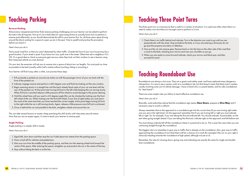## **Teaching Parking**

#### **Reverse Parking**

Almost every inexperienced driver finds reverse parking challenging, but your learner can be asked to perform this task in the driving test. First up it's not a bad idea for supervising drivers to actually know how to perform a reverse park effectively, as you should demonstrate this skill to your learner first. So, all those years spent driving around the block waiting for a space to open up are in the past. Time to upskill and practise the procedure before you teach it.

#### *Here's how you do it:*

Find a quiet road first, so that you aren't distracted by other traffic. Outside the front of your own house may be a good location, if your street is quiet. If you have two cars, park one in the street. Otherwise ask a neighbour if it's OK. It's a good idea to check as everyone gets nervous when they look out their window to see a learner using their treasured vehicle as a test dummy!

On your test, the examiner will ask you to reverse into a space of about two car lengths. You must park as close as possible to the kerb (usually within half a metre) without touching, hitting or mounting it.

Your learner will find it easy after a while. Just practise these steps:

- 1. Pull up beside a parked car around one metre out with the passenger mirror of your car level with the front of the parked car.
- 2. Indicate, engage reverse and perform a 360-degree scan and finish by looking out the rear window.
- 3. Begin reversing slowly in a straight line until the back wheels/back seats of your car are level with the rear of the parked car. At that point start turning full lock to the left while keeping the car moving slowly. When full lock is reached release a little pressure off the wheel to avoid damage to the power steering.
- 4. Hold the wheel here until you reach a 45-degree angle (this can be checked by looking over the front left wheel of the car. When looking over the front left wheel, if your line of sight makes you look down the road at the same time then you have reached the correct angle), at this point begin turning full lock to the right while the car is still moving slowly. Again, release a little pressure once full lock is achieved.
- 5. Once in behind the car and parallel to the kerb, straighten wheels and secure the car.

Always remember that on the approach to a roundabout get into the correct lane (if you are turning right make sure you are in the right lane). On the approach remember that if you are turning left or right you must indicate left or right. So, for example, if you are taking the first exit indicate left. You should indicate, if practicable, on the exit when going straight ahead. If you are taking the third exit, indicate right on the approach and left before exit.

This can take several lessons to master. Keep practising this skill slowly until it becomes second nature. Now that you are an expert again, it's time to teach your learner to reverse park.

#### **Angle Parking**

Angle parking is a simpler skill to master.

*Here's how you do it:*

- 1. Signal left, slow down and then stop the car if safe about two metres from the parking space
- 2. Have a look left for vehicles and pedestrians
- 3. Start your turn from the middle of the parking space, and then turn the steering wheel hard toward the centre of the space. After entering the space, straighten up and position the car in the centre of the bay
- 4. Stop without hitting the kerb or at the line.

# **Teaching Three Point Turns**

The three-point turn is a manoeuvre that is useful in a variety of situations. It is used most often when there is a need to make a turn but there isn't enough room to perform a U-turn.

*Here's how you do it:*

- 1. Check there is no traffic behind and indicate. Turn in the direction you want to go until you are perpendicular with the street. Stop just before the kerb, or if you are entering a driveway do not go past the property boundary or letterbox.
- 2. Now put the car into reverse gear. Reverse back or into the lane on the other side of the road that is close to the kerb, checking your mirrors and over your shoulder as you go.
- 3. When you are ready to move forward indicate, check your mirrors and blind spot, and then proceed forward.

## **Teaching Roundabout Use**

Roundabouts are always a hot issue. They are a great road safety asset, and have replaced many dangerous intersections. It is rare to see a severe crash at a roundabout site, but that doesn't mean that there aren't crashes, usually involving some sort of vehicle damage. I have a friend who is a panel beater, and he calls roundabouts his "best friend"!

There are some simple rules you follow to teach effective roundabout use.

*Here's how you do it:*

Basically, road authorities advise that the roundabout sign means **Slow Down**, prepare to **Give Way** and if necessary stop to avoid a collision.

You must always indicate left off the roundabout where it is practical to do so. This is even the case when you are continuing straight through the roundabout.

The biggest rule is to remember to give way to traffic that is already on the roundabout. Also, give way to traffic approaching the roundabout if you think there will be a chance of a crash (for example if the car on your right is obviously heading towards the roundabout at high speed, although not yet on it).

Remember, the rules for slowing down, giving way and indicating are exactly the same for single and double lane roundabouts.

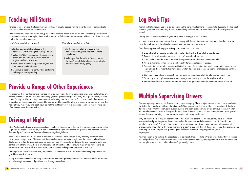# **Teaching Hill Starts**

For most learner drivers, this task is more difficult in a manually geared vehicle. Coordination of parking brake and clutch takes a bit of practice to master.

Auto vehicles roll back on a hill as well, particularly when the transmission oil is warm. Even though hill starts in an automatic vehicle are simpler, there is still a process to follow to avoid excessive roll back. Less than 50cm roll back is the desirable measure.

*Here's how you do it in a Manual: Here's how you do it in an Auto:*

## **Provide a Range of Other Experiences**

It's important that your learner experiences all, or as many varied driving conditions as possible before they are driving by themselves. This includes city driving (including motorways) and country driving on a variety of road types. For city dwellers you may need to consider leaving your local area to find a nice stretch of unsealed road to practise on. For country folk you need to be prepared to commit to a trip to a busier area (preferably one that has highway, motorway and peak hour) so that the first time your kids experience conditions that they are not often familiar with, they are with you.

## **Driving at Night**

Most Australian States now require a minimum number of hours of night-time driving experience recorded in the log book. As experienced drivers, we can sometimes take night-time driving for granted, and perhaps consider that it really isn't too much different to driving during daylight hours.

You need to look after it and ensure that you comply with the requirements that are usually listed at the front. Treat the log book as if it's a legal document and then you won't go wrong.

For a learner driver this isn't the case. Nearly all the learners I have spoken to say that they are much more nervous about night drives. Think about it. Learners have to experience the glare of the oncoming head lights; it is harder to judge distance and gaps between cars and it's harder to read signs. It's also harder to make eye contact with other drivers. There is a whole range of different conditions around night drives that need to be experienced and practised. You need to be there with them to keep the experience a safe one.

Although some Australian States may require less, I recommend that 20 hours of night driving experience is a good benchmark to aim for.

If it's possible to commence teaching your learner driver during daylight hours it will be less stressful for both of you, allowing for an eventual graduation to the night-time drive.

## **Log Book Tips**

Australian States require use of a log book during the period the learner's licence is held. Typically, the log book provides guidance to supervising drivers, is a teaching tool and requires completion of a driver experience record.

The log book is best thought of as your bible while teaching a learner to drive.

The following points will help you to keep it accurate and up to date:

- 1. Ensure that all entries are legible and completed in black or blue ink. No liquid paper.
- 2. Record all the information requested and don't leave blank spaces.
- 3. If you make a mistake draw a neat line through the error and rewrite the entry neatly.
- 4. Avoid ditto marks; rather ensure a written entry for each category required.
- included.
- 6. Sign each entry where required. Supervising drivers should use a full signature rather than initials.
- 7. Photocopy, scan or photograph each entry page as a back-up in case the log book is lost.
- 8. Ensure driver fatigue is considered and no drive is longer than two hours, without a break recorded.

5. Ensure that all information is recorded in the log book. Road authorities won't accept attachments to the log book, so those records that have been written down on bits of scrap paper or photocopied can't be

## **Multiple Supervising Drivers**

There's no getting away from it. Parents have a big role to play. There are just too many hours and who else is available that can show that level of dedication? Other unrestricted licence holders can help though. Perhaps it's time to recruit faithful relatives! If available, able and keen, grandparents are an obvious choice. I'm often told most kids seem to listen to their grandparents more than their parents. In fact, many parents I have spoken to recount their own learning to drive experience with their own grandparents.

Why do your kids listen to grandparents rather than their own parents? Is it because they have a common enemy?!! Good joke, but probably not. I remember this comment made by my own kids, "If Grandpa was here he'd know how". Our kids often respect age, experience and display better manners when with their grandparents. They listen to their grandparents and don't argue with them. If this is true for you then grandparents operating as supervising drivers (providing the skill levels are there) are going to be a great help to you.

Another option to help share the stress load is to ask family friends to help. Or even swap kids with your friends! You will probably find your learner more inclined to behave respectfully, and arguments are less frequent when two people work with each other who aren't genetically close.



- 1. First up coordinate the release of the handbrake with bringing the clutch pedal up.
- 2. When the "bite" occurs apply the accelerator gently and smoothly to a point where the engine tremble disappears.
- 3. At this point maintain the position of your feet and release the handbrake.
- 4. Continue to accelerate gently while continuing to bring the clutch pedal up.
- 1. First up coordinate the release of the handbrake with gentle application of the accelerator.
- 2. When you feel the vehicle "want to move forward", simply fully release the handbrake, and accelerate away gently.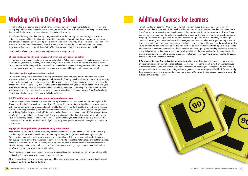## **Working with a Driving School**

If you have the spare cash, a professional driving instructor can be your best friend. Let's face it – our kids are never going to believe what we tell them. But I can guarantee that your kids will believe a driving instructor every time, even if the instructor gives much the same instructions that we do.

A professional driving school can really strengthen and hasten the learning process. The right instructor is going to give your child the right information, and the current techniques to enable your learner to be a safer and competent beginning driver. Most parents don't think about the way they drive – we just do it automatically. Sure, most of us can drive competently, but ask us how we teach it and that's a different matter. So why not engage a professional to cover all those "sticky" bits that we simply aren't sure how to explain well?

*Here's the low-down on how to work with a professional driving instructor:*

#### **Choose someone you like and someone who will like your son or daughter**

It might sound silly to say this but a lot of people just go to the Yellow Pages to make this decision. A much better idea is to ask your friends who they have been using, and are they happy with the service they have received. Does your learner like being with the instructor? Recommendation is a much stronger reason to buy any product and goes some way to guaranteeing that the service you receive will be pleasant, relevant and useful.

#### **Check that the driving instructor is accredited**

Driving instructors generally complete a training program conducted by State Road Authorities, and receive license accreditation as a result. This gives you a benchmark of quality, which is otherwise not available. Be wary of any driving instructor who is not accredited – if they haven't the commitment to engage in best practice in their chosen profession, then it is likely they won't engage in best practice with your son or daughter. Check with your State Road Authority or ask for evidence that the instructor is accredited. The driving instructor should be able to show you a valid accreditation licence, which is usually on a photo card issued by your State Road Authority. They should also have a valid Working with Children Check.

#### **Ask if it's OK to sit in the back seat while the lesson is underway**

I have never spoken to a licensed instructor who has a problem with this. Sometimes your learner might not find this comfortable, but if it works for all three of you it's a great thing to do. Supervising drivers can learn from the instructor, as well as have an understanding of "what to do next". If you don't want to sit in the back, at the very least ask the driving school to spend a few minutes with you after the lesson. You have two questions you need to ask. Firstly, "What did you do today?" Secondly, "What should I do in the next lesson?" That way you know what's going on and where you should head. And you are informed. The alternative to this approach is to ask your child what happened. You know what I mean. The information you get back from kids is sparse. Question: "What did you do today?' Answer: "Stuff". If you insist on speaking to the instructor at least you will know what has gone on.

#### **Engage the driving school of your choice early in the scheme**

Most driving schools I have spoken to say they get called in towards the end of the scheme. This has one big disadvantage. It's possible they will spend your money undoing the things that have been taught wrongly. Driving instructors usually prefer to be involved early in the scheme. This can be especially useful if you are a nervous supervising driver. The school can teach your kids how to control the motor vehicle and get them started. Sometimes this is the hardest bit. Consider purchasing some additional lessons if the hip pocket stretches to it. Maybe bringing the instructor back around half way through the teaching program to get some feedback on what's working well and what needs additional time.

Finally, a pre-test evaluation a couple of weeks prior to the driving test can be reassuring, or otherwise provide feedback to "fix up" a couple of techniques prior to test time.

All in all, the driving instructor of your choice should become an interested and important partner in the overall process of teaching your learner to drive.

## **Additional Courses for Learners**

I am often asked by parents, "Would it be useful to buy an advanced driving course for my learner?" My answer is always the same: *No!* It's my belief that because a new driver is not an advanced driver then it doesn't make a lot of sense to enrol them in a course that has been designed for experienced drivers. Typically courses like this extend upon the skills of drivers that have been on the road for many years (maybe someone like you!). Advanced driving courses are popular because you get to do all that "fun stuff", like braking at speed and learning how to respond correctly in emergency situations. In other words, you are taught how to react and handle your car in extreme situations. This is all fine for you but not for your kids. Research shows that young drivers who complete a course like this actually have so much fun that they try to repeat the experience when they are out there on the road. You don't want your kids braking at speed, skidding and trying to handle a vehicle in dangerous situations. It's just not a good spend of your hard-earned dollars. Remember also that inexperienced drivers with little exposure to dangerous situations simply don't have instant recall to the course content to use in an emergency situation.

**A Defensive Driving Course is a better way to go.** Defensive driving courses have much more focus on classroom discussion as well as practical sessions. They encourage the use of low risk driving techniques, foster correct attitudes and behaviours and have an emphasis on enabling an inexperienced driver to avoid emergency situations, rather than focussing on how to get out of them, making them ideal for P Platers. Usually these programs run over one day, and although not cheap, a Defensive Driving Course can make a wonderful birthday or Christmas present!



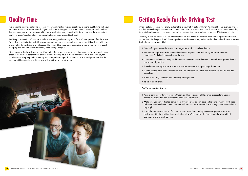

## **Quality Time**

I've spoken to many parents who roll their eyes when I mention this is a great way to spend quality time with your kids. Let's face it – not many 16 and 17 year olds want to hang out with Mum or Dad. So maybe relish the fact that you have your son or daughter all to yourselves for the many hours it will take to complete the scheme that applies in your Australian State. This opportunity may never present itself again.

And keep it positive! Don't criticise your learner openly, and certainly not in front of other people after the lesson. Don't always tell but rather ask. Give your learner heaps of positive reinforcement – your kids will be looking for praise rather than criticism and will respond to you and the experience according to how good they feel about their progress and how comfortable they feel working with you.

When I got my licence it was pretty fashionable to say that, "I got it first time". And I did! But not everybody does and that hasn't changed over the years. Sometimes it can be about nerves and these can let us down on the day. It's pretty hard to control a car when your palms are sweating and your heart is beating 180 times a minute!

Most people in the Baby Boomer and Generation Xers learnt to drive for only three months (or even less in some cases). Nearly every parent I have spoken to says that they have a strong memory of the experience. So, for your kids who are going to be spending much longer learning to drive, there is an iron clad guarantee that the memory will be there forever. I think you will want it to be a positive one.

One way to reduce nerves is for your learner to know that all the preparation has been completed and all the content described in your State's licensing scheme has been covered, understood and completed. Here are some tips for learners that should help:

- 1. Book in for your test early. Many motor registries book out well in advance
- 2. Ensure your log book has been completed to the required standards set by your road authority. Conduct a final check the day before the test
- 3. Check the vehicle that is being used for the test to ensure it's roadworthy. A test will never proceed in an un-roadworthy vehicle
- 4. Don't have a late night prior. You want to make sure you are at optimum performance
- 5. Don't drink too much coffee before the test. This can make you tense and increase your heart rate and stress level
- 6. Arrive a bit early running late can really stress you out
- 7. Be polite and friendly.

*And for supervising drivers...*

- 1. Keep a calm tone with your learner. Understand that this is one of life's great stresses for a young person. Be supportive and remember what it was like for you!
- 2. Make sure you stay to the test completion. If your learner doesn't pass on the first go then you will need to be there to drive home. Sometimes new P Platers can be so excited that you might have to drive home anyway!
- 3. If your learner doesn't crack it first time be supportive, listen and try to encourage your learner to think forward to the next test time, which after all won't be too far off. Expect and allow for a bit of grumpiness and low self esteem.

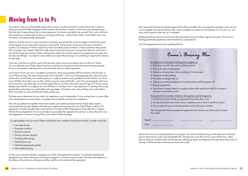## **Moving from Ls to Ps**

As a parent, I bet you will probably agree with me when I say that one of the scariest times to be a parent is when you see that P Plate disappear up the road for the first time. It really is a time when you change forever from the role of supervising driver to worrying parent. You have a real right to be worried. This is your child who has moved from a supervised situation to an unsupervised one – and are they really a much better driver now that there is a P plate proudly displayed?

We know that the risks of a crash anywhere in Australia and around the world are higher in the first few years of driving than at any other time of a person's driving life. Young drivers are known to be over-involved in crashes. On average a P Plater is about four times more likely to be involved in a fatal crash than older drivers. This is a pretty scary statistic. What this really means is that every time your young driver takes the road there is around four times less chance of them coming home safely. This situation improves as experience increases, but the risks are still high – too high for most parents to accept without trying to do something to improve the chances for their kids.

One way to do this is to still be a part of the process, even if we are not sitting in the car with our P Plater. You may feel that your P Plater doesn't want you involved now that the provisional license has been granted. But your involvement is still important, and achievable with just a little negotiation.

Let's look at it from your son or daughter's perspective. Most young people still live at home in the first year or so of P Plate driving. This means that you pay a lot of the bills – this is your first bargaining chip. Many first year drivers also use the family car, and this gives you a right to set down some guidelines for the vehicle's use. Even if your P Plater drives their own car they will be at you for some of the bills – even if it's just having the vehicle on your insurance cover. Basically, we are still responsible for our kids, even at the ripe old age of 17. Some young people may resist this to a degree, but most still know it, and even want it. My experience in working with young people tells me that they are comfortable with parameters. Give them some rules and they will usually follow them. Give them no rules and they will make up their own.

The best way to determine car use rules is by negotiation, and not imposition. If your young driver is a part of the rule making decision process, there is a greater chance that this will improve compliance.

The rules you determine together need to be doable, prescriptive and documented. Road safety experts recommend that you get together and draft up an agreement to govern the use of the P Plater's vehicle. This agreement is formal and generally covers the first 12 months of the P Plate period. Most often this is called a Vehicle Access Agreement. It's not a bad idea to personalise the agreement by giving it a name, like John's Car Use Agreement, or Emma's Driving Plan or even Pete's P Plate Package.

So, get together with your new P Plater and decide what conditions should be included. Consider issues like:

- Late night driving
- Passenger numbers
- Duration of drives
- Driving with zero alcohol
- Smoking while driving
- Mobile phone use
- Safe and appropriate speeds
- Wet weather driving.

It's time now to decide what the consequences will be if the agreement is broken. For example, breaking the agreement may mean withdrawal of driving privileges for a minimum period of time. This may even depend on the offence. Ensure that you all agree and then add this to the bottom of the agreement.

Now document the level of parental support that will be provided. You may agree for example to pick up your son or daughter from parties that go after 11pm, to negate any reason for driving late. Or, if it's your car, you may want to specify when the car is available.

Bullet-point all your decisions and ensure that all parents and your P Plater sign the document. This is now a binding partnership agreement, that if broken has consequences.

*Your final agreement may look something like this:*

During her first 12 months of driving Emma agrees to:

- 1. Only drive up until 11pm and not before sunrise
- 2. Drive with only one passenger
- 3. Not drive for more than 2 hours without a 15-minute rest
- 4. Never drive after drinking
- 5. Not allow smoking in the car
- 6. Only use a mobile if pulled over in a safe location with the ignition off
- 7. Drive to speed limits
- there are school kids around

8. Slow down in areas where it is unsafe to drive to the speed limit, like if it's raining or

#### During her first 12 months of Emma's driving Mum and Dad agree to:

1. Pick Emma and her friends up at parties that go later than 11pm

2. Provide the small family car for use on weekends and to drive to and from school



- 
- 3. Discuss safe driving and answer questions about driving as needed

We all agree that if Emma breaks the agreement she will lose use of the car for at least two weeks.

| Signed |  |
|--------|--|
| Date   |  |

Above all continue to provide guidance and support. Your kids are still growing up and need your continued input to help ensure a safe, long and healthy life. The best way to do this is to be a part of their lives, rather than an observer. Let them help with the decision-making but guide and help them through those early years of driving. It will be the best investment you have ever made.

Emma's Driving Plan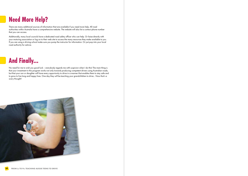## **Need More Help?**

There are many additional sources of information that are available if you need more help. All road authorities within Australia have a comprehensive website. The website will also list a contact phone number that you can access.

Additionally, many local councils have a dedicated road safety officer who can help. Or liaise directly with your motoring association or log on to their web site to access the many resources they make available to you. If you are using a driving school make sure you pump the instructor for information. Or just pop into your local road authority for advice.

## **And Finally...**

No need for me to wish you good luck – everybody regards me with suspicion when I do this! The main thing is that your investment in this program works not only towards producing competent drivers using Australian roads, but that your son or daughter will have every opportunity to drive in a manner that enables them to stay safe and to grow to live long and happy lives. One day they will be teaching your grandchildren to drive... Now that's a scary thought!